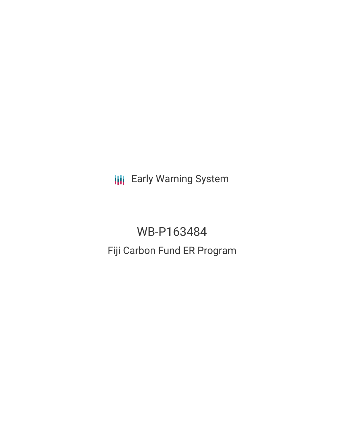**III** Early Warning System

# WB-P163484 Fiji Carbon Fund ER Program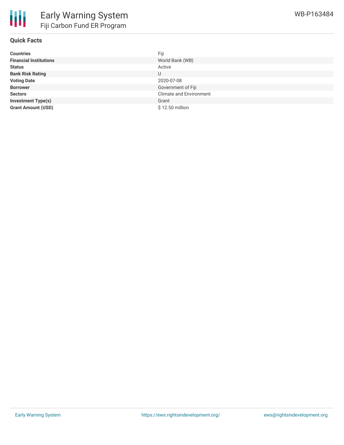

### **Quick Facts**

| <b>Countries</b>              | Fiji                           |
|-------------------------------|--------------------------------|
| <b>Financial Institutions</b> | World Bank (WB)                |
| <b>Status</b>                 | Active                         |
| <b>Bank Risk Rating</b>       | U                              |
| <b>Voting Date</b>            | 2020-07-08                     |
| <b>Borrower</b>               | Government of Fiji             |
| <b>Sectors</b>                | <b>Climate and Environment</b> |
| <b>Investment Type(s)</b>     | Grant                          |
| <b>Grant Amount (USD)</b>     | \$12.50 million                |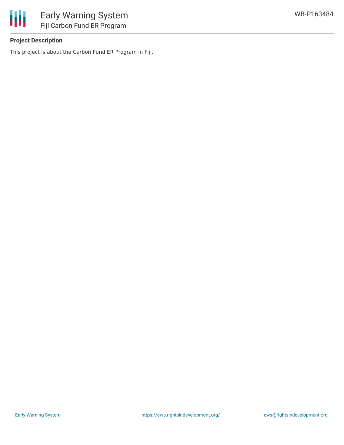

# **Project Description**

This project is about the Carbon Fund ER Program in Fiji.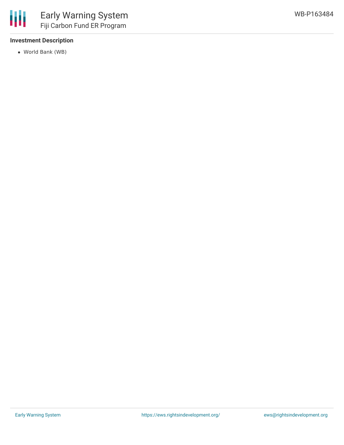

## **Investment Description**

World Bank (WB)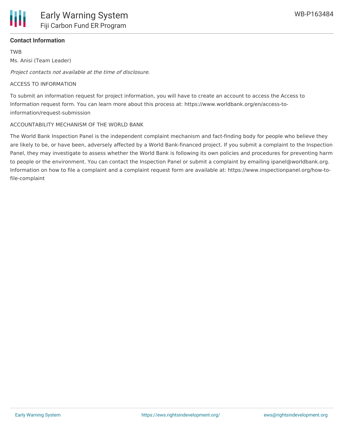

#### **Contact Information**

TWB

Ms. Anisi (Team Leader)

Project contacts not available at the time of disclosure.

#### ACCESS TO INFORMATION

To submit an information request for project information, you will have to create an account to access the Access to Information request form. You can learn more about this process at: https://www.worldbank.org/en/access-toinformation/request-submission

#### ACCOUNTABILITY MECHANISM OF THE WORLD BANK

The World Bank Inspection Panel is the independent complaint mechanism and fact-finding body for people who believe they are likely to be, or have been, adversely affected by a World Bank-financed project. If you submit a complaint to the Inspection Panel, they may investigate to assess whether the World Bank is following its own policies and procedures for preventing harm to people or the environment. You can contact the Inspection Panel or submit a complaint by emailing ipanel@worldbank.org. Information on how to file a complaint and a complaint request form are available at: https://www.inspectionpanel.org/how-tofile-complaint